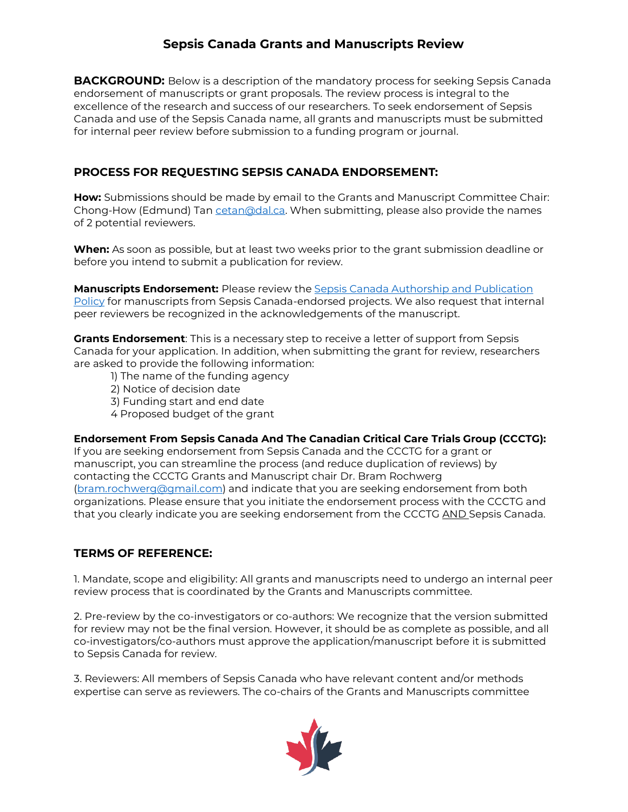## **Sepsis Canada Grants and Manuscripts Review**

**BACKGROUND:** Below is a description of the mandatory process for seeking Sepsis Canada endorsement of manuscripts or grant proposals. The review process is integral to the excellence of the research and success of our researchers. To seek endorsement of Sepsis Canada and use of the Sepsis Canada name, all grants and manuscripts must be submitted for internal peer review before submission to a funding program or journal.

## **PROCESS FOR REQUESTING SEPSIS CANADA ENDORSEMENT:**

**How:** Submissions should be made by email to the Grants and Manuscript Committee Chair: Chong-How (Edmund) Tan [cetan@dal.ca.](mailto:cetan@dal.ca) When submitting, please also provide the names of 2 potential reviewers.

**When:** As soon as possible, but at least two weeks prior to the grant submission deadline or before you intend to submit a publication for review.

**Manuscripts Endorsement:** Please review the [Sepsis Canada Authorship and Publication](https://www.sepsiscanada.ca/resources/Sepsis%20Canada%20Authorship%20and%20Publications%20Policy%20Jan%202021.pdf)  [Policy](https://www.sepsiscanada.ca/resources/Sepsis%20Canada%20Authorship%20and%20Publications%20Policy%20Jan%202021.pdf) for manuscripts from Sepsis Canada-endorsed projects. We also request that internal peer reviewers be recognized in the acknowledgements of the manuscript.

**Grants Endorsement**: This is a necessary step to receive a letter of support from Sepsis Canada for your application. In addition, when submitting the grant for review, researchers are asked to provide the following information:

- 1) The name of the funding agency
- 2) Notice of decision date
- 3) Funding start and end date
- 4 Proposed budget of the grant

**Endorsement From Sepsis Canada And The Canadian Critical Care Trials Group (CCCTG):** If you are seeking endorsement from Sepsis Canada and the CCCTG for a grant or manuscript, you can streamline the process (and reduce duplication of reviews) by contacting the CCCTG Grants and Manuscript chair Dr. Bram Rochwerg [\(bram.rochwerg@gmail.com\)](mailto:bram.rochwerg@gmail.com) and indicate that you are seeking endorsement from both organizations. Please ensure that you initiate the endorsement process with the CCCTG and that you clearly indicate you are seeking endorsement from the CCCTG AND Sepsis Canada.

## **TERMS OF REFERENCE:**

1. Mandate, scope and eligibility: All grants and manuscripts need to undergo an internal peer review process that is coordinated by the Grants and Manuscripts committee.

2. Pre-review by the co-investigators or co-authors: We recognize that the version submitted for review may not be the final version. However, it should be as complete as possible, and all co-investigators/co-authors must approve the application/manuscript before it is submitted to Sepsis Canada for review.

3. Reviewers: All members of Sepsis Canada who have relevant content and/or methods expertise can serve as reviewers. The co-chairs of the Grants and Manuscripts committee